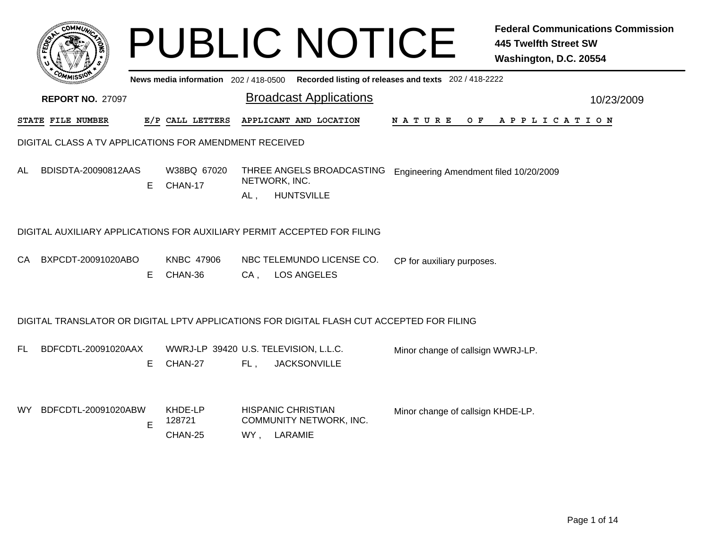|                                                        |                                                                                           |    | <b>PUBLIC NOTICE</b>                             |     |                                          |                               |                                                       | <b>Federal Communications Commission</b><br><b>445 Twelfth Street SW</b><br>Washington, D.C. 20554 |  |  |
|--------------------------------------------------------|-------------------------------------------------------------------------------------------|----|--------------------------------------------------|-----|------------------------------------------|-------------------------------|-------------------------------------------------------|----------------------------------------------------------------------------------------------------|--|--|
|                                                        |                                                                                           |    | News media information 202 / 418-0500            |     |                                          |                               | Recorded listing of releases and texts 202 / 418-2222 |                                                                                                    |  |  |
|                                                        | <b>REPORT NO. 27097</b>                                                                   |    |                                                  |     |                                          | <b>Broadcast Applications</b> |                                                       | 10/23/2009                                                                                         |  |  |
|                                                        | STATE FILE NUMBER                                                                         |    | E/P CALL LETTERS                                 |     |                                          | APPLICANT AND LOCATION        | N A T U R E<br>O F                                    | APPLICATION                                                                                        |  |  |
| DIGITAL CLASS A TV APPLICATIONS FOR AMENDMENT RECEIVED |                                                                                           |    |                                                  |     |                                          |                               |                                                       |                                                                                                    |  |  |
| AL                                                     | BDISDTA-20090812AAS                                                                       | E. | W38BQ 67020<br>CHAN-17                           | AL, | NETWORK, INC.<br><b>HUNTSVILLE</b>       | THREE ANGELS BROADCASTING     | Engineering Amendment filed 10/20/2009                |                                                                                                    |  |  |
|                                                        | DIGITAL AUXILIARY APPLICATIONS FOR AUXILIARY PERMIT ACCEPTED FOR FILING                   |    |                                                  |     |                                          |                               |                                                       |                                                                                                    |  |  |
| CA.                                                    | BXPCDT-20091020ABO                                                                        | E  | <b>KNBC 47906</b><br>CHAN-36                     | CA, | <b>LOS ANGELES</b>                       | NBC TELEMUNDO LICENSE CO.     | CP for auxiliary purposes.                            |                                                                                                    |  |  |
|                                                        | DIGITAL TRANSLATOR OR DIGITAL LPTV APPLICATIONS FOR DIGITAL FLASH CUT ACCEPTED FOR FILING |    |                                                  |     |                                          |                               |                                                       |                                                                                                    |  |  |
| FL.                                                    | BDFCDTL-20091020AAX                                                                       | E. | WWRJ-LP 39420 U.S. TELEVISION, L.L.C.<br>CHAN-27 | FL, | <b>JACKSONVILLE</b>                      |                               | Minor change of callsign WWRJ-LP.                     |                                                                                                    |  |  |
|                                                        | WY BDFCDTL-20091020ABW                                                                    | E  | KHDE-LP<br>128721<br>CHAN-25                     |     | <b>HISPANIC CHRISTIAN</b><br>WY, LARAMIE | COMMUNITY NETWORK, INC.       | Minor change of callsign KHDE-LP.                     |                                                                                                    |  |  |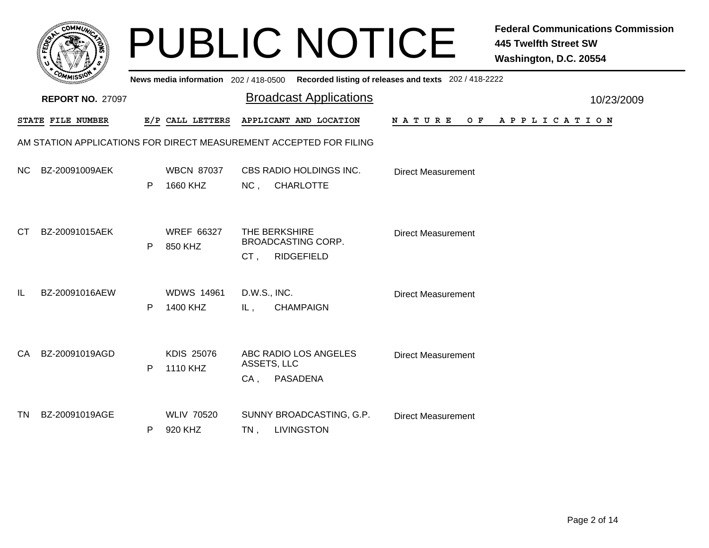|           |                         |   |                                       |                       | <b>PUBLIC NOTICE</b>                                               |                           | <b>Federal Communications Commission</b><br><b>445 Twelfth Street SW</b><br>Washington, D.C. 20554 |
|-----------|-------------------------|---|---------------------------------------|-----------------------|--------------------------------------------------------------------|---------------------------|----------------------------------------------------------------------------------------------------|
|           |                         |   | News media information 202 / 418-0500 |                       | Recorded listing of releases and texts 202 / 418-2222              |                           |                                                                                                    |
|           | <b>REPORT NO. 27097</b> |   |                                       |                       | <b>Broadcast Applications</b>                                      |                           | 10/23/2009                                                                                         |
|           | STATE FILE NUMBER       |   | E/P CALL LETTERS                      |                       | APPLICANT AND LOCATION                                             | N A T U R E               | OF APPLICATION                                                                                     |
|           |                         |   |                                       |                       | AM STATION APPLICATIONS FOR DIRECT MEASUREMENT ACCEPTED FOR FILING |                           |                                                                                                    |
| NC.       | BZ-20091009AEK          | P | <b>WBCN 87037</b><br>1660 KHZ         | NC,                   | CBS RADIO HOLDINGS INC.<br><b>CHARLOTTE</b>                        | <b>Direct Measurement</b> |                                                                                                    |
| <b>CT</b> | BZ-20091015AEK          | P | <b>WREF 66327</b><br>850 KHZ          | THE BERKSHIRE<br>CT,  | <b>BROADCASTING CORP.</b><br><b>RIDGEFIELD</b>                     | <b>Direct Measurement</b> |                                                                                                    |
| IL        | BZ-20091016AEW          | P | <b>WDWS 14961</b><br>1400 KHZ         | D.W.S., INC.<br>$L$ , | <b>CHAMPAIGN</b>                                                   | <b>Direct Measurement</b> |                                                                                                    |
| CA        | BZ-20091019AGD          | P | <b>KDIS 25076</b><br>1110 KHZ         | ASSETS, LLC<br>$CA$ , | ABC RADIO LOS ANGELES<br><b>PASADENA</b>                           | <b>Direct Measurement</b> |                                                                                                    |
| <b>TN</b> | BZ-20091019AGE          | P | <b>WLIV 70520</b><br>920 KHZ          | $TN$ ,                | SUNNY BROADCASTING, G.P.<br><b>LIVINGSTON</b>                      | <b>Direct Measurement</b> |                                                                                                    |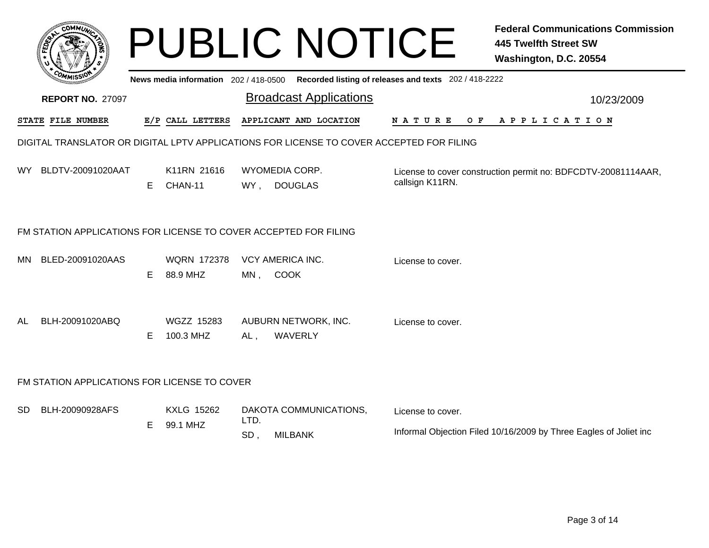|     |                                                                  |    |                                |             | <b>PUBLIC NOTICE</b>                                                                        | <b>Federal Communications Commission</b><br><b>445 Twelfth Street SW</b><br>Washington, D.C. 20554 |                                                                   |  |  |
|-----|------------------------------------------------------------------|----|--------------------------------|-------------|---------------------------------------------------------------------------------------------|----------------------------------------------------------------------------------------------------|-------------------------------------------------------------------|--|--|
|     |                                                                  |    |                                |             | News media information 202 / 418-0500 Recorded listing of releases and texts 202 / 418-2222 |                                                                                                    |                                                                   |  |  |
|     | <b>REPORT NO. 27097</b>                                          |    |                                |             | <b>Broadcast Applications</b>                                                               |                                                                                                    | 10/23/2009                                                        |  |  |
|     | <b>STATE FILE NUMBER</b>                                         |    | E/P CALL LETTERS               |             | APPLICANT AND LOCATION                                                                      | N A T U R E<br>O F                                                                                 | A P P L I C A T I O N                                             |  |  |
|     |                                                                  |    |                                |             | DIGITAL TRANSLATOR OR DIGITAL LPTV APPLICATIONS FOR LICENSE TO COVER ACCEPTED FOR FILING    |                                                                                                    |                                                                   |  |  |
|     | WY BLDTV-20091020AAT                                             | E. | K11RN 21616<br>CHAN-11         | WY,         | WYOMEDIA CORP.<br><b>DOUGLAS</b>                                                            | callsign K11RN.                                                                                    | License to cover construction permit no: BDFCDTV-20081114AAR,     |  |  |
|     | FM STATION APPLICATIONS FOR LICENSE TO COVER ACCEPTED FOR FILING |    |                                |             |                                                                                             |                                                                                                    |                                                                   |  |  |
| MN. | BLED-20091020AAS                                                 | Е  | <b>WORN 172378</b><br>88.9 MHZ | MN,         | VCY AMERICA INC.<br><b>COOK</b>                                                             | License to cover.                                                                                  |                                                                   |  |  |
| AL  | BLH-20091020ABQ                                                  | Е  | <b>WGZZ 15283</b><br>100.3 MHZ | AL,         | AUBURN NETWORK, INC.<br>WAVERLY                                                             | License to cover.                                                                                  |                                                                   |  |  |
|     | FM STATION APPLICATIONS FOR LICENSE TO COVER                     |    |                                |             |                                                                                             |                                                                                                    |                                                                   |  |  |
| SD  | BLH-20090928AFS                                                  | Е  | <b>KXLG 15262</b><br>99.1 MHZ  | LTD.<br>SD, | DAKOTA COMMUNICATIONS,<br><b>MILBANK</b>                                                    | License to cover.                                                                                  | Informal Objection Filed 10/16/2009 by Three Eagles of Joliet inc |  |  |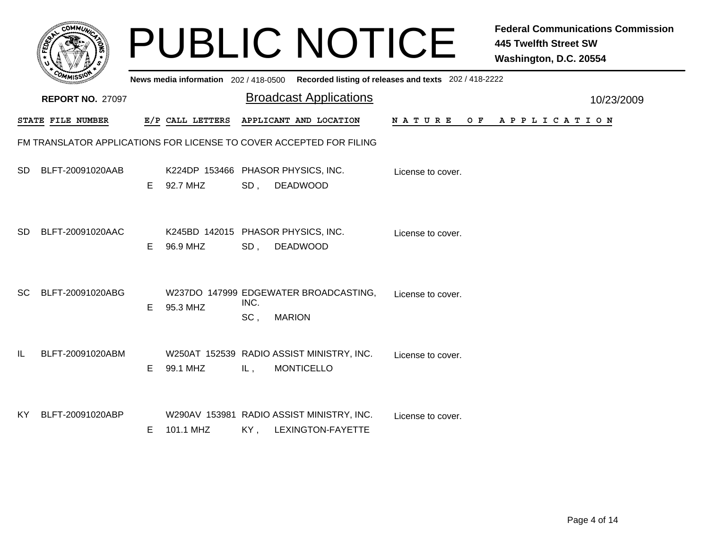|           |                          |    |                                     |             | <b>PUBLIC NOTICE</b>                                                |                                                       | <b>Federal Communications Commission</b><br><b>445 Twelfth Street SW</b><br>Washington, D.C. 20554 |
|-----------|--------------------------|----|-------------------------------------|-------------|---------------------------------------------------------------------|-------------------------------------------------------|----------------------------------------------------------------------------------------------------|
|           |                          |    | News media information 202/418-0500 |             |                                                                     | Recorded listing of releases and texts 202 / 418-2222 |                                                                                                    |
|           | <b>REPORT NO. 27097</b>  |    |                                     |             | <b>Broadcast Applications</b>                                       |                                                       | 10/23/2009                                                                                         |
|           | <b>STATE FILE NUMBER</b> |    | E/P CALL LETTERS                    |             | APPLICANT AND LOCATION                                              | N A T U R E                                           | OF APPLICATION                                                                                     |
|           |                          |    |                                     |             | FM TRANSLATOR APPLICATIONS FOR LICENSE TO COVER ACCEPTED FOR FILING |                                                       |                                                                                                    |
| SD.       | BLFT-20091020AAB         | E. | 92.7 MHZ                            | SD,         | K224DP 153466 PHASOR PHYSICS, INC.<br><b>DEADWOOD</b>               | License to cover.                                     |                                                                                                    |
| <b>SD</b> | BLFT-20091020AAC         | E  | 96.9 MHZ                            | SD,         | K245BD 142015 PHASOR PHYSICS, INC.<br><b>DEADWOOD</b>               | License to cover.                                     |                                                                                                    |
| <b>SC</b> | BLFT-20091020ABG         | E. | 95.3 MHZ                            | INC.<br>SC, | W237DO 147999 EDGEWATER BROADCASTING,<br><b>MARION</b>              | License to cover.                                     |                                                                                                    |
| IL        | BLFT-20091020ABM         | E. | 99.1 MHZ                            | IL,         | W250AT 152539 RADIO ASSIST MINISTRY, INC.<br><b>MONTICELLO</b>      | License to cover.                                     |                                                                                                    |
| KY.       | BLFT-20091020ABP         | E. | 101.1 MHZ                           | KY,         | W290AV 153981 RADIO ASSIST MINISTRY, INC.<br>LEXINGTON-FAYETTE      | License to cover.                                     |                                                                                                    |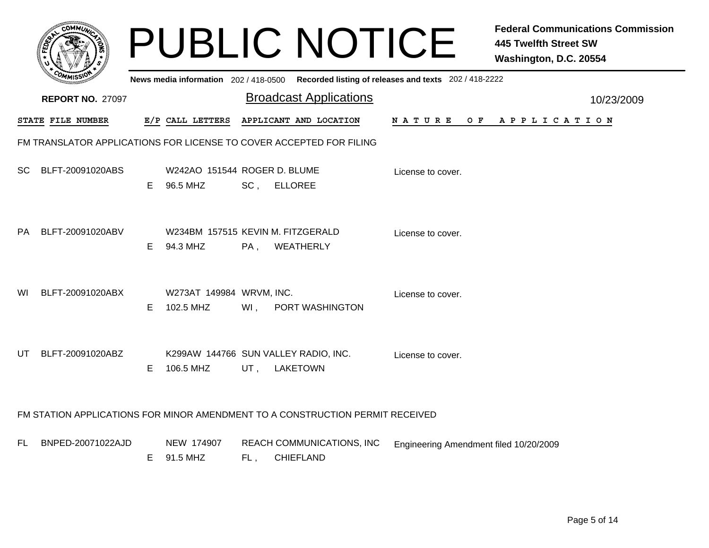|           |                          |    |                                               |     | <b>PUBLIC NOTICE</b>                                                                    |                                        | <b>Federal Communications Commission</b><br><b>445 Twelfth Street SW</b><br>Washington, D.C. 20554 |
|-----------|--------------------------|----|-----------------------------------------------|-----|-----------------------------------------------------------------------------------------|----------------------------------------|----------------------------------------------------------------------------------------------------|
|           |                          |    |                                               |     | News media information 202/418-0500 Recorded listing of releases and texts 202/418-2222 |                                        |                                                                                                    |
|           | <b>REPORT NO. 27097</b>  |    |                                               |     | <b>Broadcast Applications</b>                                                           |                                        | 10/23/2009                                                                                         |
|           | <b>STATE FILE NUMBER</b> |    | E/P CALL LETTERS                              |     | APPLICANT AND LOCATION                                                                  | N A T U R E                            | OF APPLICATION                                                                                     |
|           |                          |    |                                               |     | FM TRANSLATOR APPLICATIONS FOR LICENSE TO COVER ACCEPTED FOR FILING                     |                                        |                                                                                                    |
| <b>SC</b> | BLFT-20091020ABS         | E. | W242AO 151544 ROGER D. BLUME<br>96.5 MHZ      | SC, | <b>ELLOREE</b>                                                                          | License to cover.                      |                                                                                                    |
| PA        | BLFT-20091020ABV         | E. | W234BM 157515 KEVIN M. FITZGERALD<br>94.3 MHZ | PA, | WEATHERLY                                                                               | License to cover.                      |                                                                                                    |
| WI        | BLFT-20091020ABX         | E. | W273AT 149984 WRVM, INC.<br>102.5 MHZ         | Wl, | PORT WASHINGTON                                                                         | License to cover.                      |                                                                                                    |
| UT        | BLFT-20091020ABZ         | E. | 106.5 MHZ                                     | UT, | K299AW 144766 SUN VALLEY RADIO, INC.<br><b>LAKETOWN</b>                                 | License to cover.                      |                                                                                                    |
|           |                          |    |                                               |     | FM STATION APPLICATIONS FOR MINOR AMENDMENT TO A CONSTRUCTION PERMIT RECEIVED           |                                        |                                                                                                    |
| FL.       | BNPED-20071022AJD        |    | NEW 174907<br>E 91.5 MHZ                      | FL, | REACH COMMUNICATIONS, INC<br><b>CHIEFLAND</b>                                           | Engineering Amendment filed 10/20/2009 |                                                                                                    |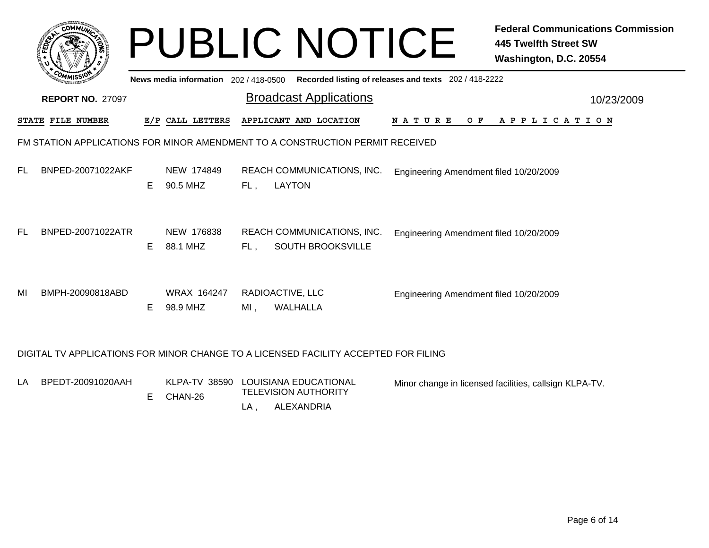|    | <b>COMMIT</b>                                                                 |    |                                       |     | <b>PUBLIC NOTICE</b>                                                                |                                                       | <b>Federal Communications Commission</b><br><b>445 Twelfth Street SW</b><br>Washington, D.C. 20554 |  |  |
|----|-------------------------------------------------------------------------------|----|---------------------------------------|-----|-------------------------------------------------------------------------------------|-------------------------------------------------------|----------------------------------------------------------------------------------------------------|--|--|
|    |                                                                               |    | News media information 202 / 418-0500 |     |                                                                                     | Recorded listing of releases and texts 202 / 418-2222 |                                                                                                    |  |  |
|    | <b>REPORT NO. 27097</b>                                                       |    |                                       |     | <b>Broadcast Applications</b>                                                       |                                                       | 10/23/2009                                                                                         |  |  |
|    | STATE FILE NUMBER                                                             |    | E/P CALL LETTERS                      |     | APPLICANT AND LOCATION                                                              | N A T U R E                                           | OF APPLICATION                                                                                     |  |  |
|    | FM STATION APPLICATIONS FOR MINOR AMENDMENT TO A CONSTRUCTION PERMIT RECEIVED |    |                                       |     |                                                                                     |                                                       |                                                                                                    |  |  |
| FL | BNPED-20071022AKF                                                             | E. | NEW 174849<br>90.5 MHZ                | FL, | REACH COMMUNICATIONS, INC.<br><b>LAYTON</b>                                         | Engineering Amendment filed 10/20/2009                |                                                                                                    |  |  |
| FL | BNPED-20071022ATR                                                             | E. | NEW 176838<br>88.1 MHZ                | FL. | REACH COMMUNICATIONS, INC.<br><b>SOUTH BROOKSVILLE</b>                              | Engineering Amendment filed 10/20/2009                |                                                                                                    |  |  |
| MI | BMPH-20090818ABD                                                              | Е  | WRAX 164247<br>98.9 MHZ               | MI, | RADIOACTIVE, LLC<br>WALHALLA                                                        | Engineering Amendment filed 10/20/2009                |                                                                                                    |  |  |
|    |                                                                               |    |                                       |     | DIGITAL TV APPLICATIONS FOR MINOR CHANGE TO A LICENSED FACILITY ACCEPTED FOR FILING |                                                       |                                                                                                    |  |  |

KLPA-TV 38590 LOUISIANA EDUCATIONAL TELEVISION AUTHORITY LA BPEDT-20091020AAH LA, , ALEXANDRIA E CHAN-26 Minor change in licensed facilities, callsign KLPA-TV.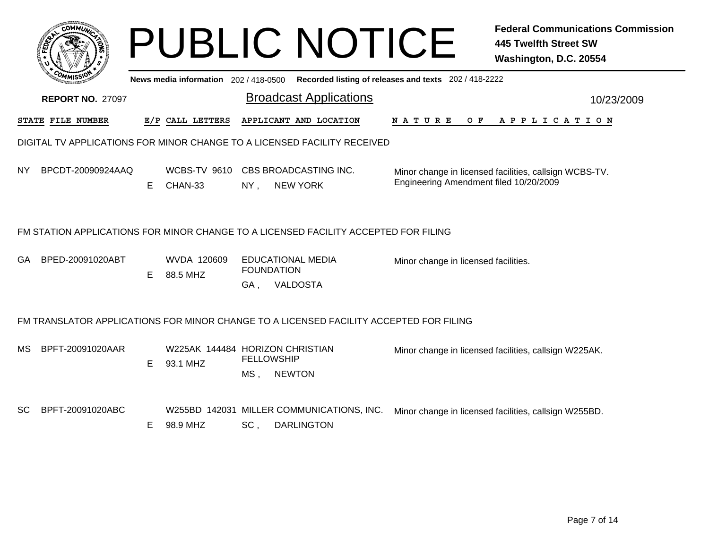|     |                          |    |                                             |                           | <b>PUBLIC NOTICE</b>                                                                   |                                                       | <b>Federal Communications Commission</b><br><b>445 Twelfth Street SW</b><br>Washington, D.C. 20554 |
|-----|--------------------------|----|---------------------------------------------|---------------------------|----------------------------------------------------------------------------------------|-------------------------------------------------------|----------------------------------------------------------------------------------------------------|
|     |                          |    | News media information 202 / 418-0500       |                           |                                                                                        | Recorded listing of releases and texts 202 / 418-2222 |                                                                                                    |
|     | <b>REPORT NO. 27097</b>  |    |                                             |                           | <b>Broadcast Applications</b>                                                          |                                                       | 10/23/2009                                                                                         |
|     | <b>STATE FILE NUMBER</b> |    | E/P CALL LETTERS                            |                           | APPLICANT AND LOCATION                                                                 | N A T U R E<br>O F                                    | A P P L I C A T I O N                                                                              |
|     |                          |    |                                             |                           | DIGITAL TV APPLICATIONS FOR MINOR CHANGE TO A LICENSED FACILITY RECEIVED               |                                                       |                                                                                                    |
| NY. | BPCDT-20090924AAQ        | E  | CHAN-33                                     | $NY$ ,                    | WCBS-TV 9610 CBS BROADCASTING INC.<br><b>NEW YORK</b>                                  | Engineering Amendment filed 10/20/2009                | Minor change in licensed facilities, callsign WCBS-TV.                                             |
|     |                          |    |                                             |                           | FM STATION APPLICATIONS FOR MINOR CHANGE TO A LICENSED FACILITY ACCEPTED FOR FILING    |                                                       |                                                                                                    |
| GA  | BPED-20091020ABT         | E. | WVDA 120609<br>88.5 MHZ                     | GA,                       | <b>EDUCATIONAL MEDIA</b><br><b>FOUNDATION</b><br>VALDOSTA                              | Minor change in licensed facilities.                  |                                                                                                    |
|     |                          |    |                                             |                           | FM TRANSLATOR APPLICATIONS FOR MINOR CHANGE TO A LICENSED FACILITY ACCEPTED FOR FILING |                                                       |                                                                                                    |
| MS. | BPFT-20091020AAR         | E. | W225AK 144484 HORIZON CHRISTIAN<br>93.1 MHZ | <b>FELLOWSHIP</b><br>MS . | <b>NEWTON</b>                                                                          |                                                       | Minor change in licensed facilities, callsign W225AK.                                              |
| SC  | BPFT-20091020ABC         | E. | 98.9 MHZ                                    | SC,                       | W255BD 142031 MILLER COMMUNICATIONS, INC.<br><b>DARLINGTON</b>                         |                                                       | Minor change in licensed facilities, callsign W255BD.                                              |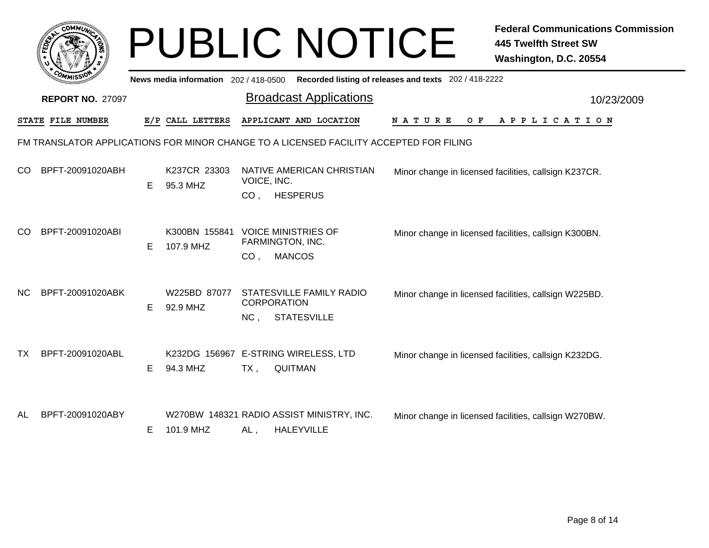|     |                         |   |                                       |                                | <b>PUBLIC NOTICE</b>                                                                   |                                                       | <b>Federal Communications Commission</b><br><b>445 Twelfth Street SW</b><br>Washington, D.C. 20554 |  |
|-----|-------------------------|---|---------------------------------------|--------------------------------|----------------------------------------------------------------------------------------|-------------------------------------------------------|----------------------------------------------------------------------------------------------------|--|
|     |                         |   | News media information 202 / 418-0500 |                                |                                                                                        | Recorded listing of releases and texts 202 / 418-2222 |                                                                                                    |  |
|     | <b>REPORT NO. 27097</b> |   |                                       |                                | <b>Broadcast Applications</b>                                                          |                                                       | 10/23/2009                                                                                         |  |
|     | STATE FILE NUMBER       |   | E/P CALL LETTERS                      |                                | APPLICANT AND LOCATION                                                                 | N A T U R E<br>O F                                    | A P P L I C A T I O N                                                                              |  |
|     |                         |   |                                       |                                | FM TRANSLATOR APPLICATIONS FOR MINOR CHANGE TO A LICENSED FACILITY ACCEPTED FOR FILING |                                                       |                                                                                                    |  |
| CO  | BPFT-20091020ABH        | E | K237CR 23303<br>95.3 MHZ              | VOICE, INC.<br>CO <sub>1</sub> | NATIVE AMERICAN CHRISTIAN<br><b>HESPERUS</b>                                           |                                                       | Minor change in licensed facilities, callsign K237CR.                                              |  |
| CO  | BPFT-20091020ABI        | Е | K300BN 155841<br>107.9 MHZ            | CO <sub>1</sub>                | <b>VOICE MINISTRIES OF</b><br>FARMINGTON, INC.<br><b>MANCOS</b>                        |                                                       | Minor change in licensed facilities, callsign K300BN.                                              |  |
| NC. | BPFT-20091020ABK        | E | W225BD 87077<br>92.9 MHZ              | <b>CORPORATION</b><br>NC,      | STATESVILLE FAMILY RADIO<br><b>STATESVILLE</b>                                         |                                                       | Minor change in licensed facilities, callsign W225BD.                                              |  |
| TX  | BPFT-20091020ABL        | Е | 94.3 MHZ                              | TX,                            | K232DG 156967 E-STRING WIRELESS, LTD<br><b>QUITMAN</b>                                 |                                                       | Minor change in licensed facilities, callsign K232DG.                                              |  |
| AL  | BPFT-20091020ABY        | Е | 101.9 MHZ                             | $AL$ ,                         | W270BW 148321 RADIO ASSIST MINISTRY, INC.<br><b>HALEYVILLE</b>                         |                                                       | Minor change in licensed facilities, callsign W270BW.                                              |  |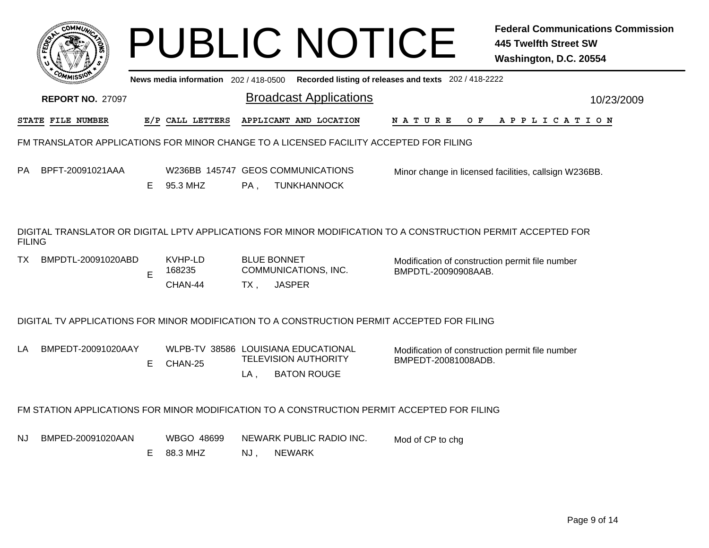|                                                                                        | <b>COMMI</b>                                                                                                                  |    |                                     |        | <b>PUBLIC NOTICE</b>                                                                        |                                                                        | <b>Federal Communications Commission</b><br><b>445 Twelfth Street SW</b><br>Washington, D.C. 20554 |  |  |  |
|----------------------------------------------------------------------------------------|-------------------------------------------------------------------------------------------------------------------------------|----|-------------------------------------|--------|---------------------------------------------------------------------------------------------|------------------------------------------------------------------------|----------------------------------------------------------------------------------------------------|--|--|--|
|                                                                                        |                                                                                                                               |    | News media information 202/418-0500 |        |                                                                                             | Recorded listing of releases and texts 202 / 418-2222                  |                                                                                                    |  |  |  |
|                                                                                        | <b>REPORT NO. 27097</b>                                                                                                       |    |                                     |        | <b>Broadcast Applications</b>                                                               |                                                                        | 10/23/2009                                                                                         |  |  |  |
|                                                                                        | STATE FILE NUMBER                                                                                                             |    | E/P CALL LETTERS                    |        | APPLICANT AND LOCATION                                                                      | O F<br>N A T U R E                                                     | A P P L I C A T I O N                                                                              |  |  |  |
| FM TRANSLATOR APPLICATIONS FOR MINOR CHANGE TO A LICENSED FACILITY ACCEPTED FOR FILING |                                                                                                                               |    |                                     |        |                                                                                             |                                                                        |                                                                                                    |  |  |  |
| PА                                                                                     | BPFT-20091021AAA                                                                                                              | E. | 95.3 MHZ                            | PA.    | W236BB 145747 GEOS COMMUNICATIONS<br><b>TUNKHANNOCK</b>                                     |                                                                        | Minor change in licensed facilities, callsign W236BB.                                              |  |  |  |
|                                                                                        | DIGITAL TRANSLATOR OR DIGITAL LPTV APPLICATIONS FOR MINOR MODIFICATION TO A CONSTRUCTION PERMIT ACCEPTED FOR<br><b>FILING</b> |    |                                     |        |                                                                                             |                                                                        |                                                                                                    |  |  |  |
| TX.                                                                                    | BMPDTL-20091020ABD                                                                                                            | E  | KVHP-LD<br>168235                   |        | <b>BLUE BONNET</b><br>COMMUNICATIONS, INC.                                                  | Modification of construction permit file number<br>BMPDTL-20090908AAB. |                                                                                                    |  |  |  |
|                                                                                        |                                                                                                                               |    | CHAN-44                             | $TX$ , | <b>JASPER</b>                                                                               |                                                                        |                                                                                                    |  |  |  |
|                                                                                        |                                                                                                                               |    |                                     |        | DIGITAL TV APPLICATIONS FOR MINOR MODIFICATION TO A CONSTRUCTION PERMIT ACCEPTED FOR FILING |                                                                        |                                                                                                    |  |  |  |
|                                                                                        | BMPEDT-20091020AAY                                                                                                            | E  | CHAN-25                             | LA .   | WLPB-TV 38586 LOUISIANA EDUCATIONAL<br><b>TELEVISION AUTHORITY</b><br><b>BATON ROUGE</b>    | Modification of construction permit file number<br>BMPEDT-20081008ADB. |                                                                                                    |  |  |  |
|                                                                                        |                                                                                                                               |    |                                     |        | FM STATION APPLICATIONS FOR MINOR MODIFICATION TO A CONSTRUCTION PERMIT ACCEPTED FOR FILING |                                                                        |                                                                                                    |  |  |  |
| NJ                                                                                     | BMPED-20091020AAN                                                                                                             | E  | WBGO 48699<br>88.3 MHZ              | NJ,    | NEWARK PUBLIC RADIO INC.<br><b>NEWARK</b>                                                   | Mod of CP to chg                                                       |                                                                                                    |  |  |  |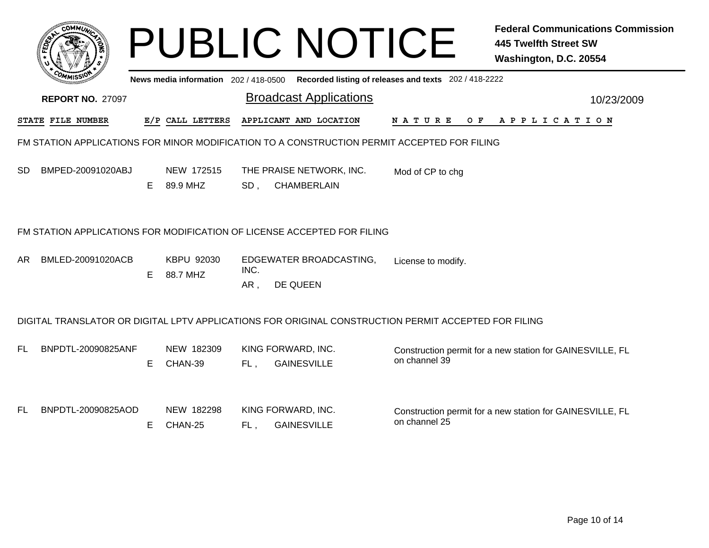|     |                                                                         |    |                                     |                 | <b>PUBLIC NOTICE</b>                                                                                 |                                                       | <b>Federal Communications Commission</b><br><b>445 Twelfth Street SW</b><br>Washington, D.C. 20554 |  |  |  |
|-----|-------------------------------------------------------------------------|----|-------------------------------------|-----------------|------------------------------------------------------------------------------------------------------|-------------------------------------------------------|----------------------------------------------------------------------------------------------------|--|--|--|
|     |                                                                         |    | News media information 202/418-0500 |                 |                                                                                                      | Recorded listing of releases and texts 202 / 418-2222 |                                                                                                    |  |  |  |
|     | <b>REPORT NO. 27097</b>                                                 |    |                                     |                 | <b>Broadcast Applications</b>                                                                        |                                                       | 10/23/2009                                                                                         |  |  |  |
|     | STATE FILE NUMBER                                                       |    | E/P CALL LETTERS                    |                 | APPLICANT AND LOCATION                                                                               | <b>NATURE</b><br>O F                                  | A P P L I C A T I O N                                                                              |  |  |  |
|     |                                                                         |    |                                     |                 | FM STATION APPLICATIONS FOR MINOR MODIFICATION TO A CONSTRUCTION PERMIT ACCEPTED FOR FILING          |                                                       |                                                                                                    |  |  |  |
| SD  | BMPED-20091020ABJ                                                       | E. | NEW 172515<br>89.9 MHZ              | SD <sub>1</sub> | THE PRAISE NETWORK, INC.<br><b>CHAMBERLAIN</b>                                                       | Mod of CP to chg                                      |                                                                                                    |  |  |  |
|     | FM STATION APPLICATIONS FOR MODIFICATION OF LICENSE ACCEPTED FOR FILING |    |                                     |                 |                                                                                                      |                                                       |                                                                                                    |  |  |  |
| AR. | BMLED-20091020ACB                                                       | E  | KBPU 92030<br>88.7 MHZ              | INC.<br>AR,     | EDGEWATER BROADCASTING,<br>DE QUEEN                                                                  | License to modify.                                    |                                                                                                    |  |  |  |
|     |                                                                         |    |                                     |                 | DIGITAL TRANSLATOR OR DIGITAL LPTV APPLICATIONS FOR ORIGINAL CONSTRUCTION PERMIT ACCEPTED FOR FILING |                                                       |                                                                                                    |  |  |  |
| FL  | BNPDTL-20090825ANF                                                      | Е  | NEW 182309<br>CHAN-39               | FL,             | KING FORWARD, INC.<br><b>GAINESVILLE</b>                                                             | on channel 39                                         | Construction permit for a new station for GAINESVILLE, FL                                          |  |  |  |
| FL. | BNPDTL-20090825AOD                                                      | Е  | NEW 182298<br>CHAN-25               | FL.             | KING FORWARD, INC.<br><b>GAINESVILLE</b>                                                             | on channel 25                                         | Construction permit for a new station for GAINESVILLE, FL                                          |  |  |  |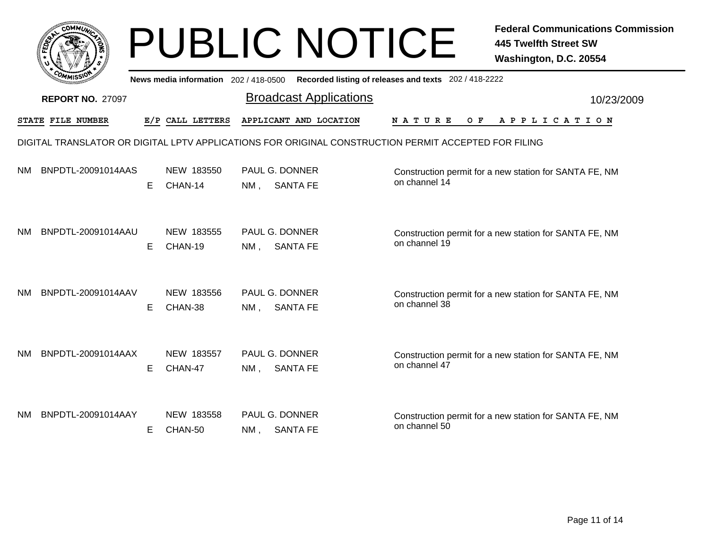|           | <b>COMMUX</b>           |    |                                       | <b>PUBLIC NOTICE</b>                                                                                 |                    | <b>Federal Communications Commission</b><br><b>445 Twelfth Street SW</b><br>Washington, D.C. 20554 |
|-----------|-------------------------|----|---------------------------------------|------------------------------------------------------------------------------------------------------|--------------------|----------------------------------------------------------------------------------------------------|
|           |                         |    | News media information 202 / 418-0500 | Recorded listing of releases and texts 202 / 418-2222                                                |                    |                                                                                                    |
|           | <b>REPORT NO. 27097</b> |    |                                       | <b>Broadcast Applications</b>                                                                        | 10/23/2009         |                                                                                                    |
|           | STATE FILE NUMBER       |    | E/P CALL LETTERS                      | APPLICANT AND LOCATION                                                                               | N A T U R E<br>O F | A P P L I C A T I O N                                                                              |
|           |                         |    |                                       | DIGITAL TRANSLATOR OR DIGITAL LPTV APPLICATIONS FOR ORIGINAL CONSTRUCTION PERMIT ACCEPTED FOR FILING |                    |                                                                                                    |
| NΜ        | BNPDTL-20091014AAS      | E. | NEW 183550<br>CHAN-14                 | <b>PAUL G. DONNER</b><br><b>SANTA FE</b><br>NM,                                                      | on channel 14      | Construction permit for a new station for SANTA FE, NM                                             |
| NΜ        | BNPDTL-20091014AAU      | E. | NEW 183555<br>CHAN-19                 | <b>PAUL G. DONNER</b><br><b>SANTA FE</b><br>NM ,                                                     | on channel 19      | Construction permit for a new station for SANTA FE, NM                                             |
| NM.       | BNPDTL-20091014AAV      | Е  | NEW 183556<br>CHAN-38                 | PAUL G. DONNER<br><b>SANTA FE</b><br>$NM$ .                                                          | on channel 38      | Construction permit for a new station for SANTA FE, NM                                             |
| <b>NM</b> | BNPDTL-20091014AAX      | E. | NEW 183557<br>CHAN-47                 | <b>PAUL G. DONNER</b><br><b>SANTA FE</b><br>NM ,                                                     | on channel 47      | Construction permit for a new station for SANTA FE, NM                                             |
| NΜ        | BNPDTL-20091014AAY      | E. | NEW 183558<br>CHAN-50                 | PAUL G. DONNER<br><b>SANTA FE</b><br>NM,                                                             | on channel 50      | Construction permit for a new station for SANTA FE, NM                                             |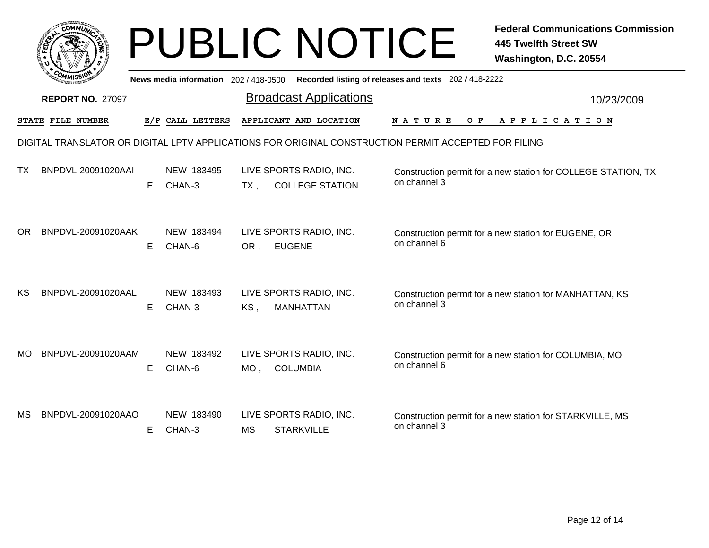| <b>COMMUT</b>             |    |                                     | <b>PUBLIC NOTICE</b>                                      | <b>Federal Communications Commission</b><br><b>445 Twelfth Street SW</b><br>Washington, D.C. 20554   |  |
|---------------------------|----|-------------------------------------|-----------------------------------------------------------|------------------------------------------------------------------------------------------------------|--|
|                           |    | News media information 202/418-0500 |                                                           | Recorded listing of releases and texts 202 / 418-2222                                                |  |
| <b>REPORT NO. 27097</b>   |    |                                     | <b>Broadcast Applications</b>                             | 10/23/2009                                                                                           |  |
| <b>STATE FILE NUMBER</b>  |    | E/P CALL LETTERS                    | APPLICANT AND LOCATION                                    | N A T U R E<br>O F<br>A P P L I C A T I O N                                                          |  |
|                           |    |                                     |                                                           | DIGITAL TRANSLATOR OR DIGITAL LPTV APPLICATIONS FOR ORIGINAL CONSTRUCTION PERMIT ACCEPTED FOR FILING |  |
| ТX<br>BNPDVL-20091020AAI  | E. | NEW 183495<br>CHAN-3                | LIVE SPORTS RADIO, INC.<br><b>COLLEGE STATION</b><br>TX , | Construction permit for a new station for COLLEGE STATION, TX<br>on channel 3                        |  |
| OR.<br>BNPDVL-20091020AAK | E. | NEW 183494<br>CHAN-6                | LIVE SPORTS RADIO, INC.<br><b>EUGENE</b><br>OR,           | Construction permit for a new station for EUGENE, OR<br>on channel 6                                 |  |
| KS.<br>BNPDVL-20091020AAL | E. | NEW 183493<br>CHAN-3                | LIVE SPORTS RADIO, INC.<br>KS,<br><b>MANHATTAN</b>        | Construction permit for a new station for MANHATTAN, KS<br>on channel 3                              |  |
| BNPDVL-20091020AAM<br>MO. | E  | NEW 183492<br>CHAN-6                | LIVE SPORTS RADIO, INC.<br><b>COLUMBIA</b><br>MO .        | Construction permit for a new station for COLUMBIA, MO<br>on channel 6                               |  |
| BNPDVL-20091020AAO<br>MS. | E. | NEW 183490<br>CHAN-3                | LIVE SPORTS RADIO, INC.<br><b>STARKVILLE</b><br>$MS$ .    | Construction permit for a new station for STARKVILLE, MS<br>on channel 3                             |  |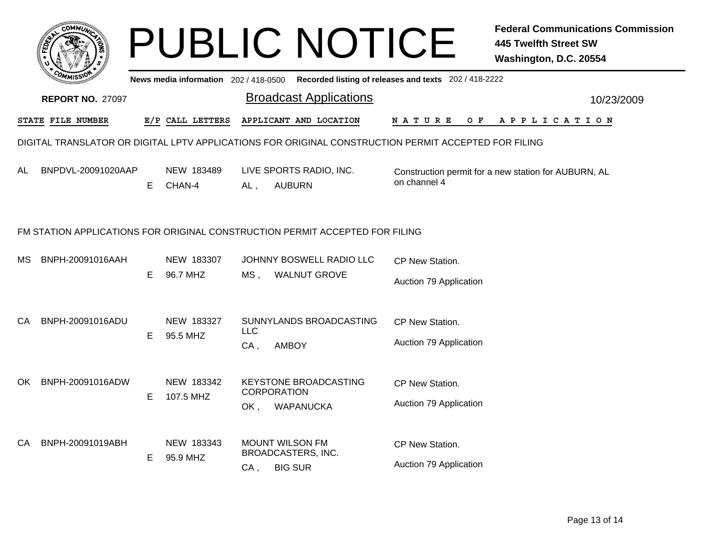|                         | соммо              |   |                                       |                               | <b>PUBLIC NOTICE</b>                                                                                 |                                                       | <b>Federal Communications Commission</b><br><b>445 Twelfth Street SW</b><br>Washington, D.C. 20554 |
|-------------------------|--------------------|---|---------------------------------------|-------------------------------|------------------------------------------------------------------------------------------------------|-------------------------------------------------------|----------------------------------------------------------------------------------------------------|
|                         |                    |   | News media information 202 / 418-0500 |                               |                                                                                                      | Recorded listing of releases and texts 202 / 418-2222 |                                                                                                    |
| <b>REPORT NO. 27097</b> |                    |   |                                       | <b>Broadcast Applications</b> |                                                                                                      | 10/23/2009                                            |                                                                                                    |
|                         | STATE FILE NUMBER  |   | E/P CALL LETTERS                      |                               | APPLICANT AND LOCATION                                                                               | O F<br>N A T U R E                                    | A P P L I C A T I O N                                                                              |
|                         |                    |   |                                       |                               | DIGITAL TRANSLATOR OR DIGITAL LPTV APPLICATIONS FOR ORIGINAL CONSTRUCTION PERMIT ACCEPTED FOR FILING |                                                       |                                                                                                    |
| AL                      | BNPDVL-20091020AAP | Е | NEW 183489<br>CHAN-4                  | AL,                           | LIVE SPORTS RADIO, INC.<br><b>AUBURN</b>                                                             | on channel 4                                          | Construction permit for a new station for AUBURN, AL                                               |
|                         |                    |   |                                       |                               | FM STATION APPLICATIONS FOR ORIGINAL CONSTRUCTION PERMIT ACCEPTED FOR FILING                         |                                                       |                                                                                                    |
| MS.                     | BNPH-20091016AAH   | E | NEW 183307<br>96.7 MHZ                | $MS$ ,                        | JOHNNY BOSWELL RADIO LLC<br><b>WALNUT GROVE</b>                                                      | CP New Station.<br>Auction 79 Application             |                                                                                                    |
| CA                      | BNPH-20091016ADU   | E | NEW 183327<br>95.5 MHZ                | <b>LLC</b><br>$CA$ ,          | SUNNYLANDS BROADCASTING<br><b>AMBOY</b>                                                              | CP New Station.<br>Auction 79 Application             |                                                                                                    |
| OK.                     | BNPH-20091016ADW   | Е | NEW 183342<br>107.5 MHZ               | OK,                           | <b>KEYSTONE BROADCASTING</b><br><b>CORPORATION</b><br><b>WAPANUCKA</b>                               | CP New Station.<br>Auction 79 Application             |                                                                                                    |
| CA.                     | BNPH-20091019ABH   | Е | NEW 183343<br>95.9 MHZ                | CA,                           | <b>MOUNT WILSON FM</b><br>BROADCASTERS, INC.<br><b>BIG SUR</b>                                       | CP New Station.<br>Auction 79 Application             |                                                                                                    |